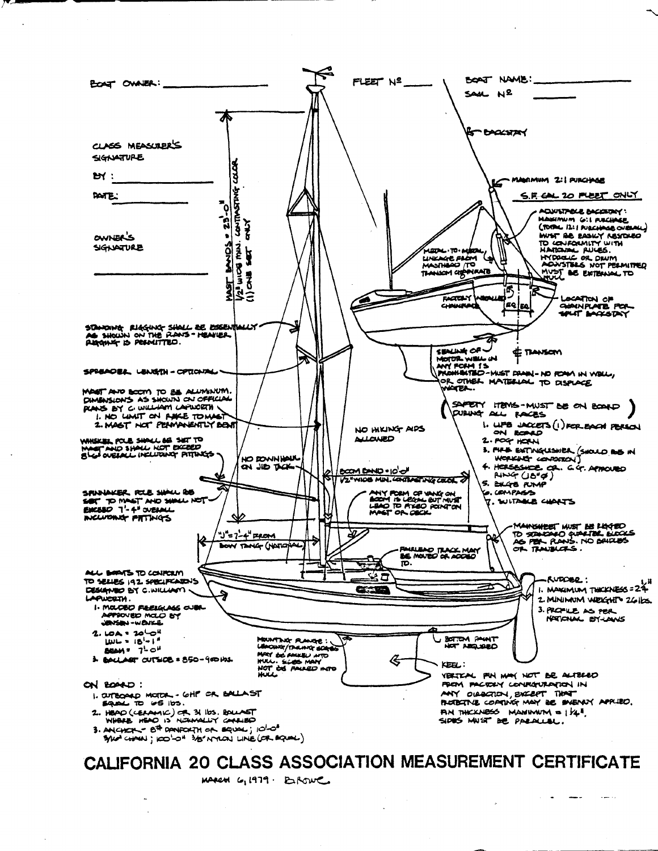

MARCH G, 1979. E.ROWE.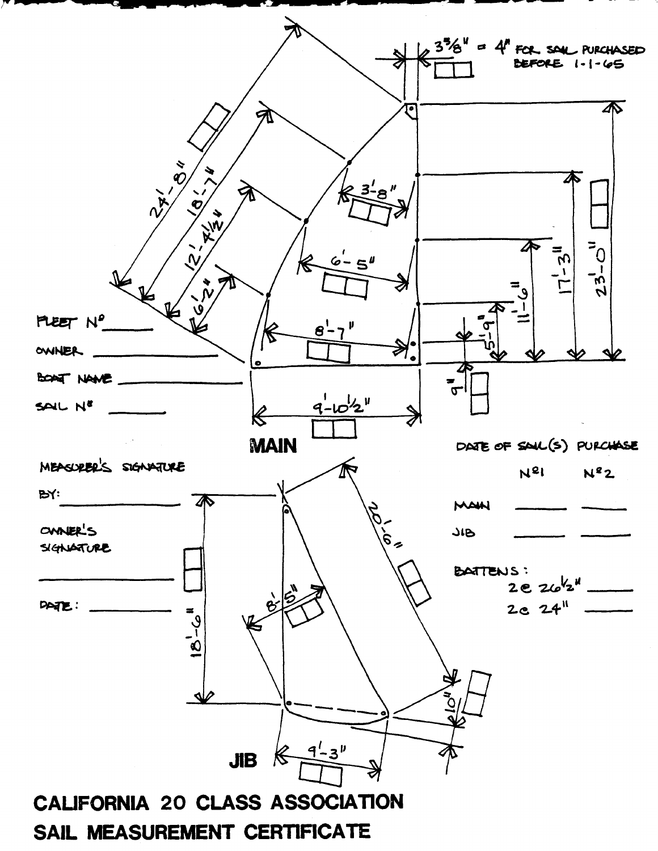

## SAIL MEASUREMENT CERTIFICATE